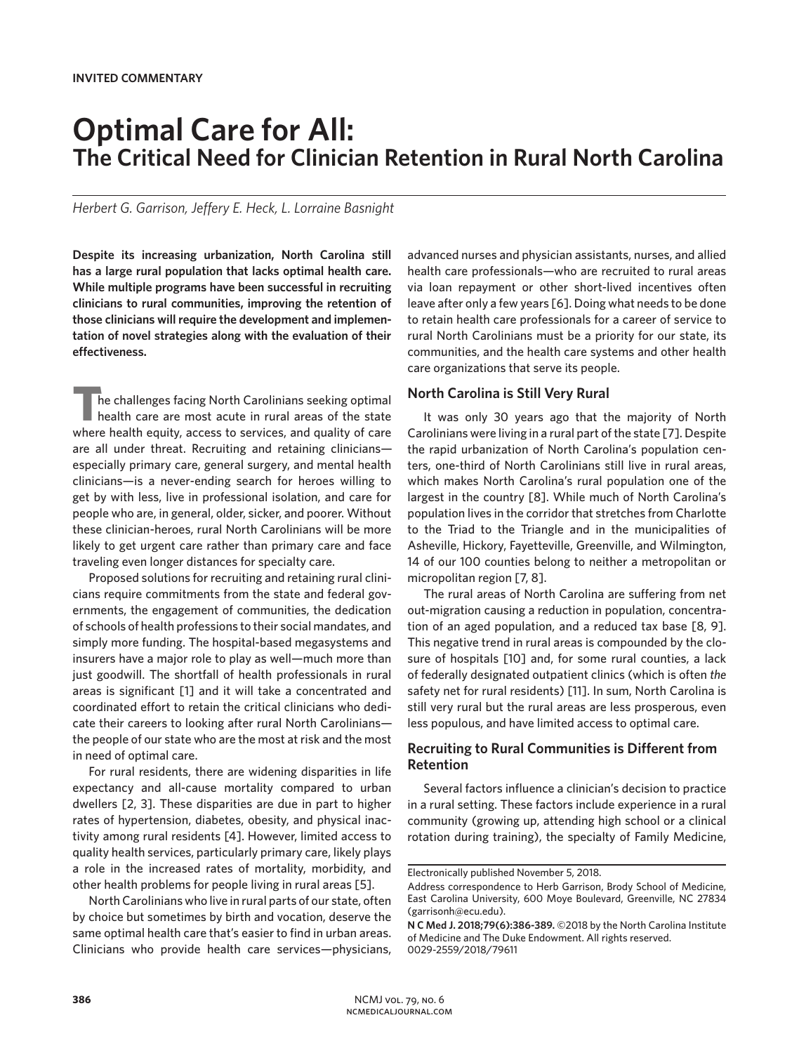# **Optimal Care for All: The Critical Need for Clinician Retention in Rural North Carolina**

*Herbert G. Garrison, Jeffery E. Heck, L. Lorraine Basnight* 

**Despite its increasing urbanization, North Carolina still has a large rural population that lacks optimal health care. While multiple programs have been successful in recruiting clinicians to rural communities, improving the retention of those clinicians will require the development and implementation of novel strategies along with the evaluation of their effectiveness.**

**T**he challenges facing North Carolinians seeking optimal health care are most acute in rural areas of the state where health equity, access to services, and quality of care are all under threat. Recruiting and retaining clinicians especially primary care, general surgery, and mental health clinicians—is a never-ending search for heroes willing to get by with less, live in professional isolation, and care for people who are, in general, older, sicker, and poorer. Without these clinician-heroes, rural North Carolinians will be more likely to get urgent care rather than primary care and face traveling even longer distances for specialty care.

Proposed solutions for recruiting and retaining rural clinicians require commitments from the state and federal governments, the engagement of communities, the dedication of schools of health professions to their social mandates, and simply more funding. The hospital-based megasystems and insurers have a major role to play as well—much more than just goodwill. The shortfall of health professionals in rural areas is significant [1] and it will take a concentrated and coordinated effort to retain the critical clinicians who dedicate their careers to looking after rural North Carolinians the people of our state who are the most at risk and the most in need of optimal care.

For rural residents, there are widening disparities in life expectancy and all-cause mortality compared to urban dwellers [2, 3]. These disparities are due in part to higher rates of hypertension, diabetes, obesity, and physical inactivity among rural residents [4]. However, limited access to quality health services, particularly primary care, likely plays a role in the increased rates of mortality, morbidity, and other health problems for people living in rural areas [5].

North Carolinians who live in rural parts of our state, often by choice but sometimes by birth and vocation, deserve the same optimal health care that's easier to find in urban areas. Clinicians who provide health care services—physicians,

advanced nurses and physician assistants, nurses, and allied health care professionals—who are recruited to rural areas via loan repayment or other short-lived incentives often leave after only a few years [6]. Doing what needs to be done to retain health care professionals for a career of service to rural North Carolinians must be a priority for our state, its communities, and the health care systems and other health care organizations that serve its people.

### **North Carolina is Still Very Rural**

It was only 30 years ago that the majority of North Carolinians were living in a rural part of the state [7]. Despite the rapid urbanization of North Carolina's population centers, one-third of North Carolinians still live in rural areas, which makes North Carolina's rural population one of the largest in the country [8]. While much of North Carolina's population lives in the corridor that stretches from Charlotte to the Triad to the Triangle and in the municipalities of Asheville, Hickory, Fayetteville, Greenville, and Wilmington, 14 of our 100 counties belong to neither a metropolitan or micropolitan region [7, 8].

The rural areas of North Carolina are suffering from net out-migration causing a reduction in population, concentration of an aged population, and a reduced tax base [8, 9]. This negative trend in rural areas is compounded by the closure of hospitals [10] and, for some rural counties, a lack of federally designated outpatient clinics (which is often *the* safety net for rural residents) [11]. In sum, North Carolina is still very rural but the rural areas are less prosperous, even less populous, and have limited access to optimal care.

## **Recruiting to Rural Communities is Different from Retention**

Several factors influence a clinician's decision to practice in a rural setting. These factors include experience in a rural community (growing up, attending high school or a clinical rotation during training), the specialty of Family Medicine,

Electronically published November 5, 2018.

Address correspondence to Herb Garrison, Brody School of Medicine, East Carolina University, 600 Moye Boulevard, Greenville, NC 27834 (garrisonh@ecu.edu).

**N C Med J. 2018;79(6):386-389.** ©2018 by the North Carolina Institute of Medicine and The Duke Endowment. All rights reserved. 0029-2559/2018/79611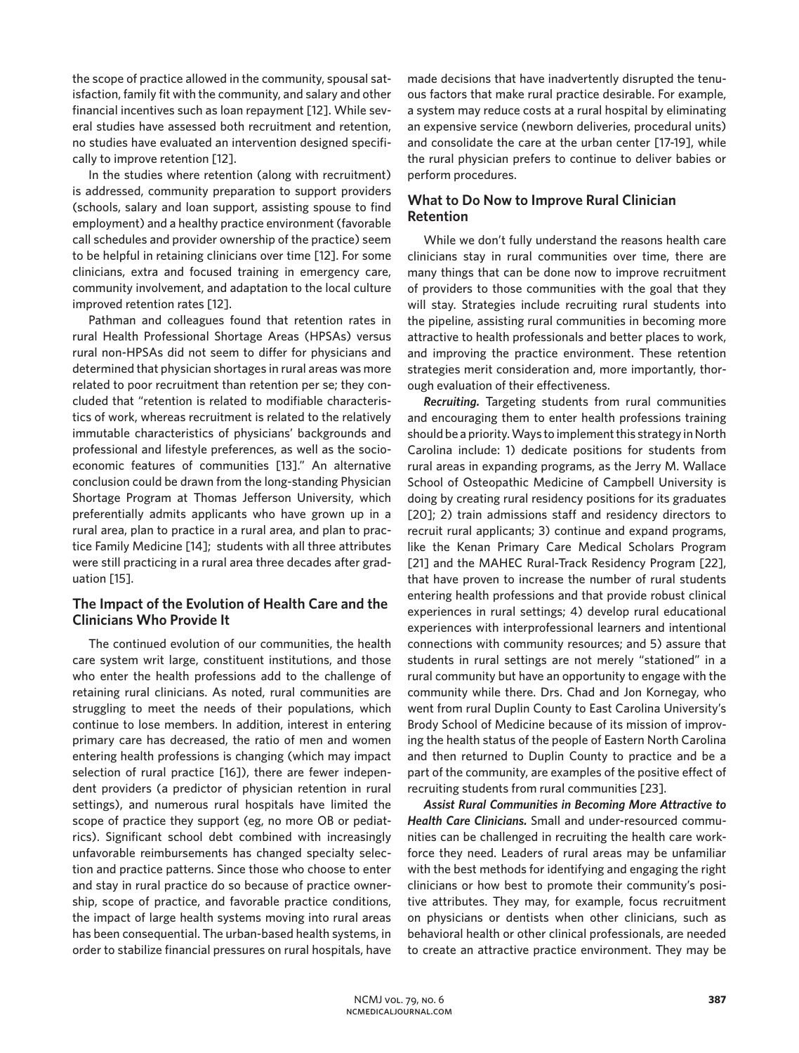the scope of practice allowed in the community, spousal satisfaction, family fit with the community, and salary and other financial incentives such as loan repayment [12]. While several studies have assessed both recruitment and retention, no studies have evaluated an intervention designed specifically to improve retention [12].

In the studies where retention (along with recruitment) is addressed, community preparation to support providers (schools, salary and loan support, assisting spouse to find employment) and a healthy practice environment (favorable call schedules and provider ownership of the practice) seem to be helpful in retaining clinicians over time [12]. For some clinicians, extra and focused training in emergency care, community involvement, and adaptation to the local culture improved retention rates [12].

Pathman and colleagues found that retention rates in rural Health Professional Shortage Areas (HPSAs) versus rural non-HPSAs did not seem to differ for physicians and determined that physician shortages in rural areas was more related to poor recruitment than retention per se; they concluded that "retention is related to modifiable characteristics of work, whereas recruitment is related to the relatively immutable characteristics of physicians' backgrounds and professional and lifestyle preferences, as well as the socioeconomic features of communities [13]." An alternative conclusion could be drawn from the long-standing Physician Shortage Program at Thomas Jefferson University, which preferentially admits applicants who have grown up in a rural area, plan to practice in a rural area, and plan to practice Family Medicine [14]; students with all three attributes were still practicing in a rural area three decades after graduation [15].

## **The Impact of the Evolution of Health Care and the Clinicians Who Provide It**

The continued evolution of our communities, the health care system writ large, constituent institutions, and those who enter the health professions add to the challenge of retaining rural clinicians. As noted, rural communities are struggling to meet the needs of their populations, which continue to lose members. In addition, interest in entering primary care has decreased, the ratio of men and women entering health professions is changing (which may impact selection of rural practice [16]), there are fewer independent providers (a predictor of physician retention in rural settings), and numerous rural hospitals have limited the scope of practice they support (eg, no more OB or pediatrics). Significant school debt combined with increasingly unfavorable reimbursements has changed specialty selection and practice patterns. Since those who choose to enter and stay in rural practice do so because of practice ownership, scope of practice, and favorable practice conditions, the impact of large health systems moving into rural areas has been consequential. The urban-based health systems, in order to stabilize financial pressures on rural hospitals, have

made decisions that have inadvertently disrupted the tenuous factors that make rural practice desirable. For example, a system may reduce costs at a rural hospital by eliminating an expensive service (newborn deliveries, procedural units) and consolidate the care at the urban center [17-19], while the rural physician prefers to continue to deliver babies or perform procedures.

# **What to Do Now to Improve Rural Clinician Retention**

While we don't fully understand the reasons health care clinicians stay in rural communities over time, there are many things that can be done now to improve recruitment of providers to those communities with the goal that they will stay. Strategies include recruiting rural students into the pipeline, assisting rural communities in becoming more attractive to health professionals and better places to work, and improving the practice environment. These retention strategies merit consideration and, more importantly, thorough evaluation of their effectiveness.

*Recruiting.* Targeting students from rural communities and encouraging them to enter health professions training should be a priority. Ways to implement this strategy in North Carolina include: 1) dedicate positions for students from rural areas in expanding programs, as the Jerry M. Wallace School of Osteopathic Medicine of Campbell University is doing by creating rural residency positions for its graduates [20]; 2) train admissions staff and residency directors to recruit rural applicants; 3) continue and expand programs, like the Kenan Primary Care Medical Scholars Program [21] and the MAHEC Rural-Track Residency Program [22], that have proven to increase the number of rural students entering health professions and that provide robust clinical experiences in rural settings; 4) develop rural educational experiences with interprofessional learners and intentional connections with community resources; and 5) assure that students in rural settings are not merely "stationed" in a rural community but have an opportunity to engage with the community while there. Drs. Chad and Jon Kornegay, who went from rural Duplin County to East Carolina University's Brody School of Medicine because of its mission of improving the health status of the people of Eastern North Carolina and then returned to Duplin County to practice and be a part of the community, are examples of the positive effect of recruiting students from rural communities [23].

*Assist Rural Communities in Becoming More Attractive to Health Care Clinicians.* Small and under-resourced communities can be challenged in recruiting the health care workforce they need. Leaders of rural areas may be unfamiliar with the best methods for identifying and engaging the right clinicians or how best to promote their community's positive attributes. They may, for example, focus recruitment on physicians or dentists when other clinicians, such as behavioral health or other clinical professionals, are needed to create an attractive practice environment. They may be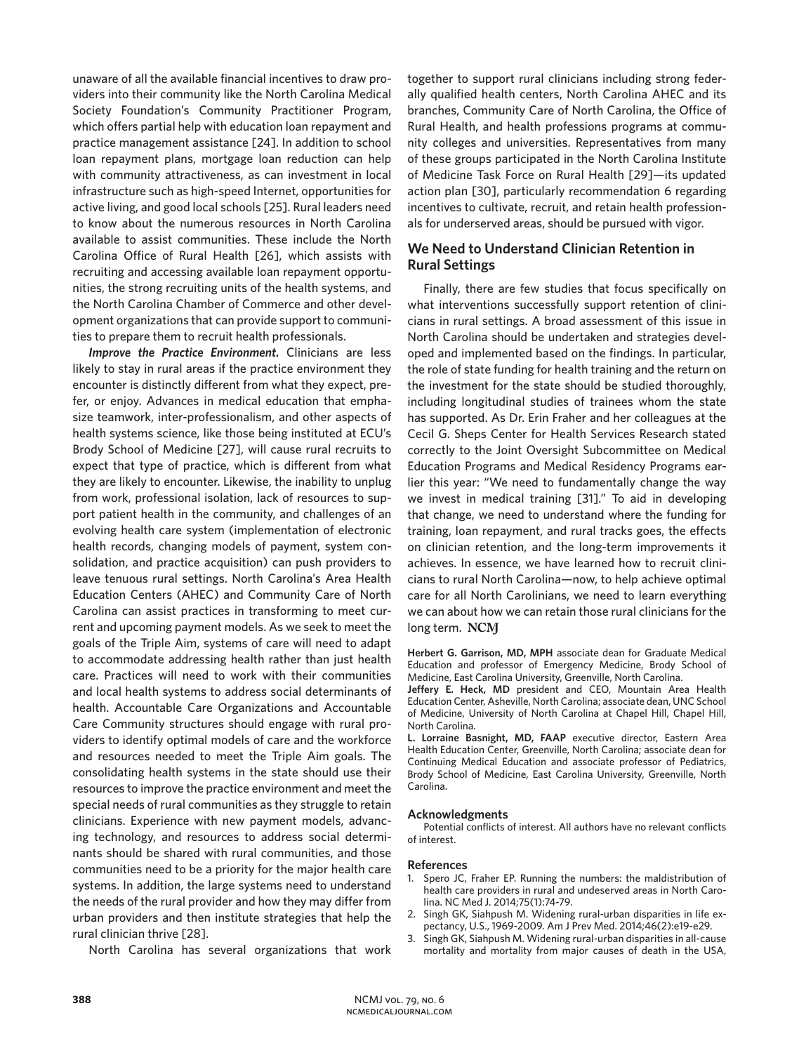unaware of all the available financial incentives to draw providers into their community like the North Carolina Medical Society Foundation's Community Practitioner Program, which offers partial help with education loan repayment and practice management assistance [24]. In addition to school loan repayment plans, mortgage loan reduction can help with community attractiveness, as can investment in local infrastructure such as high-speed Internet, opportunities for active living, and good local schools [25]. Rural leaders need to know about the numerous resources in North Carolina available to assist communities. These include the North Carolina Office of Rural Health [26], which assists with recruiting and accessing available loan repayment opportunities, the strong recruiting units of the health systems, and the North Carolina Chamber of Commerce and other development organizations that can provide support to communities to prepare them to recruit health professionals.

*Improve the Practice Environment.* Clinicians are less likely to stay in rural areas if the practice environment they encounter is distinctly different from what they expect, prefer, or enjoy. Advances in medical education that emphasize teamwork, inter-professionalism, and other aspects of health systems science, like those being instituted at ECU's Brody School of Medicine [27], will cause rural recruits to expect that type of practice, which is different from what they are likely to encounter. Likewise, the inability to unplug from work, professional isolation, lack of resources to support patient health in the community, and challenges of an evolving health care system (implementation of electronic health records, changing models of payment, system consolidation, and practice acquisition) can push providers to leave tenuous rural settings. North Carolina's Area Health Education Centers (AHEC) and Community Care of North Carolina can assist practices in transforming to meet current and upcoming payment models. As we seek to meet the goals of the Triple Aim, systems of care will need to adapt to accommodate addressing health rather than just health care. Practices will need to work with their communities and local health systems to address social determinants of health. Accountable Care Organizations and Accountable Care Community structures should engage with rural providers to identify optimal models of care and the workforce and resources needed to meet the Triple Aim goals. The consolidating health systems in the state should use their resources to improve the practice environment and meet the special needs of rural communities as they struggle to retain clinicians. Experience with new payment models, advancing technology, and resources to address social determinants should be shared with rural communities, and those communities need to be a priority for the major health care systems. In addition, the large systems need to understand the needs of the rural provider and how they may differ from urban providers and then institute strategies that help the rural clinician thrive [28].

North Carolina has several organizations that work

together to support rural clinicians including strong federally qualified health centers, North Carolina AHEC and its branches, Community Care of North Carolina, the Office of Rural Health, and health professions programs at community colleges and universities. Representatives from many of these groups participated in the North Carolina Institute of Medicine Task Force on Rural Health [29]—its updated action plan [30], particularly recommendation 6 regarding incentives to cultivate, recruit, and retain health professionals for underserved areas, should be pursued with vigor.

# **We Need to Understand Clinician Retention in Rural Settings**

Finally, there are few studies that focus specifically on what interventions successfully support retention of clinicians in rural settings. A broad assessment of this issue in North Carolina should be undertaken and strategies developed and implemented based on the findings. In particular, the role of state funding for health training and the return on the investment for the state should be studied thoroughly, including longitudinal studies of trainees whom the state has supported. As Dr. Erin Fraher and her colleagues at the Cecil G. Sheps Center for Health Services Research stated correctly to the Joint Oversight Subcommittee on Medical Education Programs and Medical Residency Programs earlier this year: "We need to fundamentally change the way we invest in medical training [31]." To aid in developing that change, we need to understand where the funding for training, loan repayment, and rural tracks goes, the effects on clinician retention, and the long-term improvements it achieves. In essence, we have learned how to recruit clinicians to rural North Carolina—now, to help achieve optimal care for all North Carolinians, we need to learn everything we can about how we can retain those rural clinicians for the long term. NCM

**Herbert G. Garrison, MD, MPH** associate dean for Graduate Medical Education and professor of Emergency Medicine, Brody School of Medicine, East Carolina University, Greenville, North Carolina.

**Jeffery E. Heck, MD** president and CEO, Mountain Area Health Education Center, Asheville, North Carolina; associate dean, UNC School of Medicine, University of North Carolina at Chapel Hill, Chapel Hill, North Carolina.

**L. Lorraine Basnight, MD, FAAP** executive director, Eastern Area Health Education Center, Greenville, North Carolina; associate dean for Continuing Medical Education and associate professor of Pediatrics, Brody School of Medicine, East Carolina University, Greenville, North Carolina.

#### **Acknowledgments**

Potential conflicts of interest. All authors have no relevant conflicts of interest.

#### **References**

- 1. Spero JC, Fraher EP. Running the numbers: the maldistribution of health care providers in rural and undeserved areas in North Carolina. NC Med J. 2014;75(1):74-79.
- 2. Singh GK, Siahpush M. Widening rural-urban disparities in life expectancy, U.S., 1969-2009. Am J Prev Med. 2014;46(2):e19-e29.
- 3. Singh GK, Siahpush M. Widening rural-urban disparities in all-cause mortality and mortality from major causes of death in the USA,